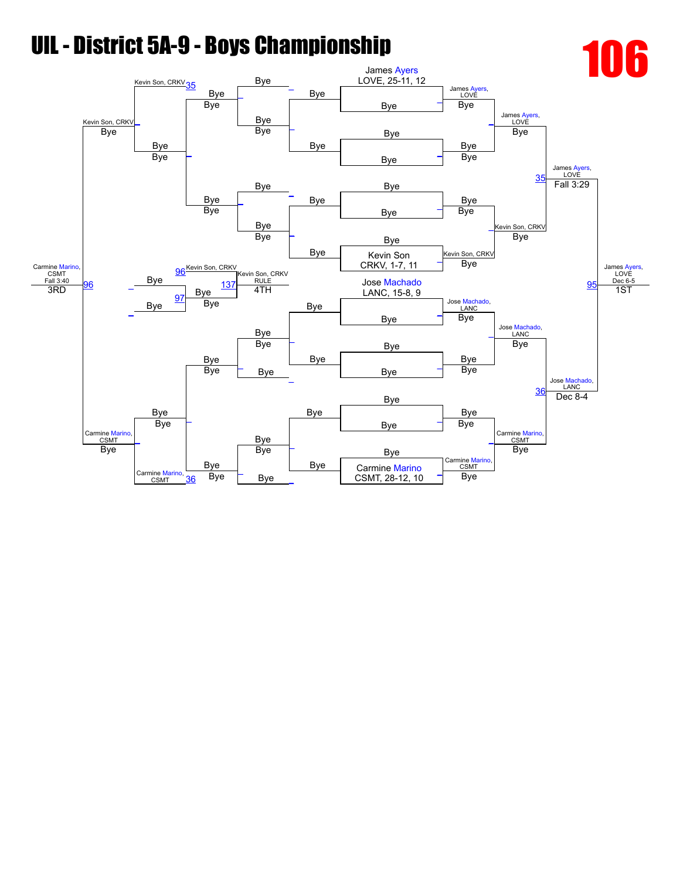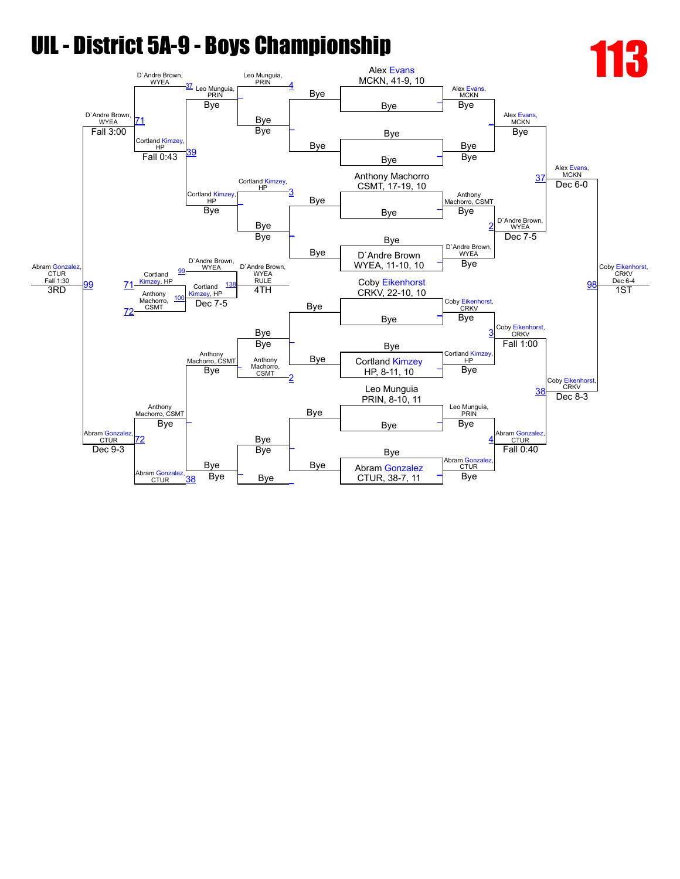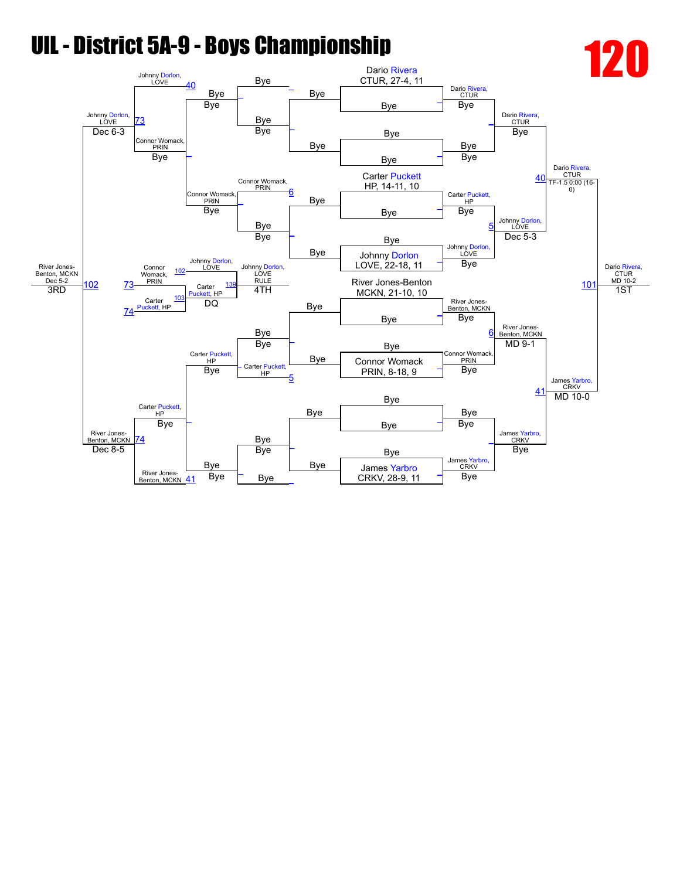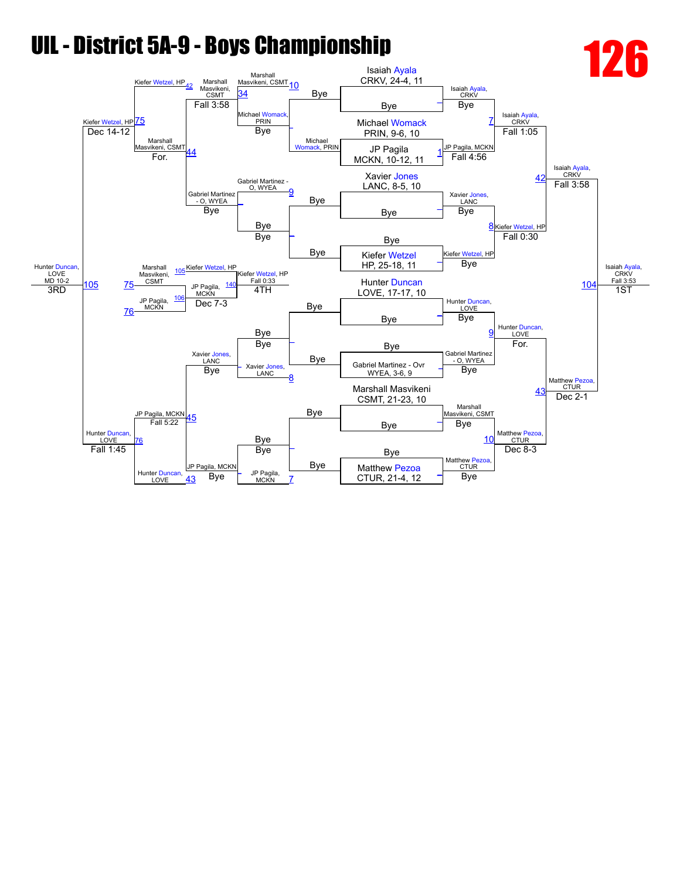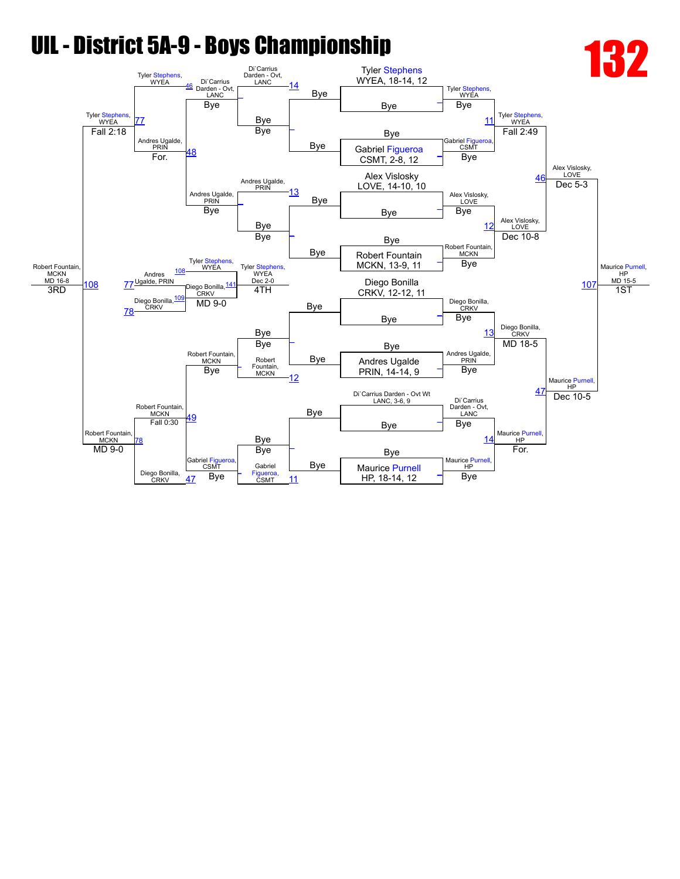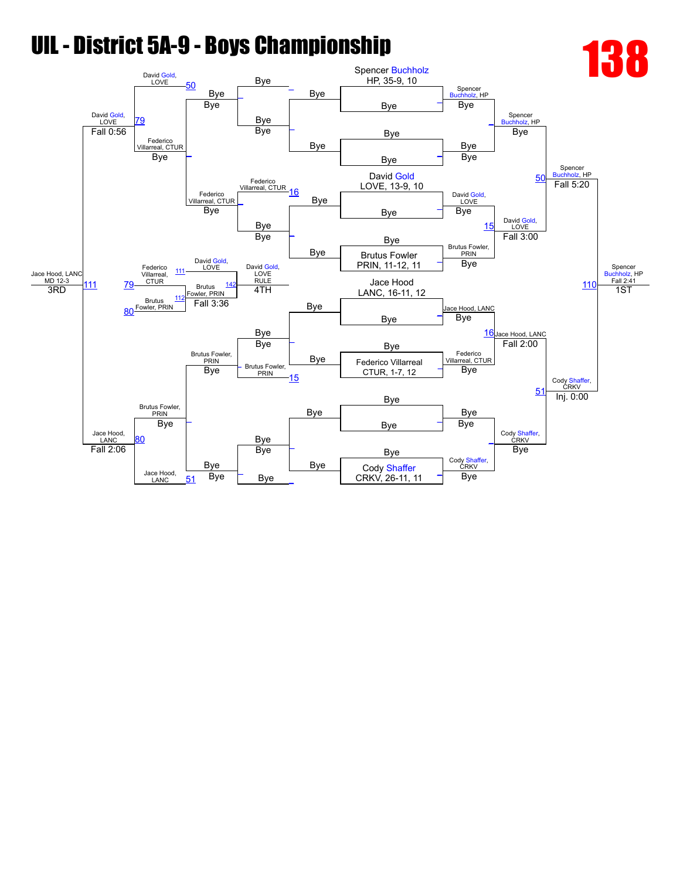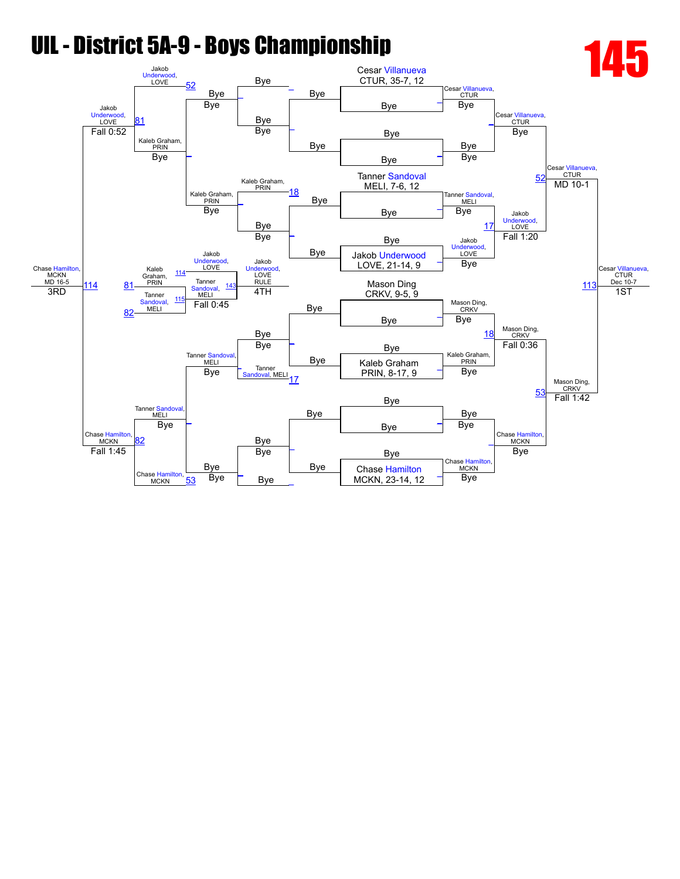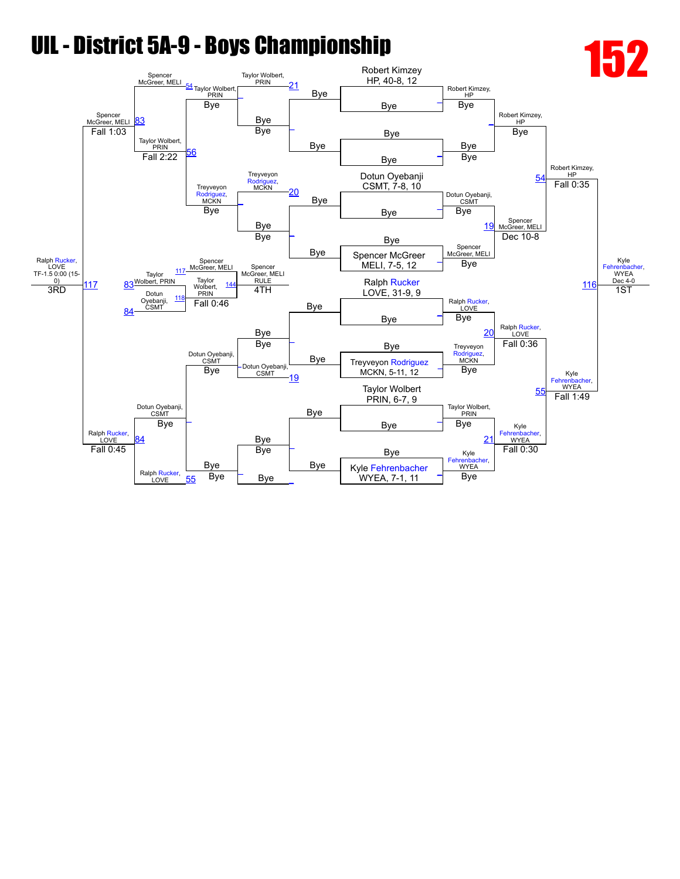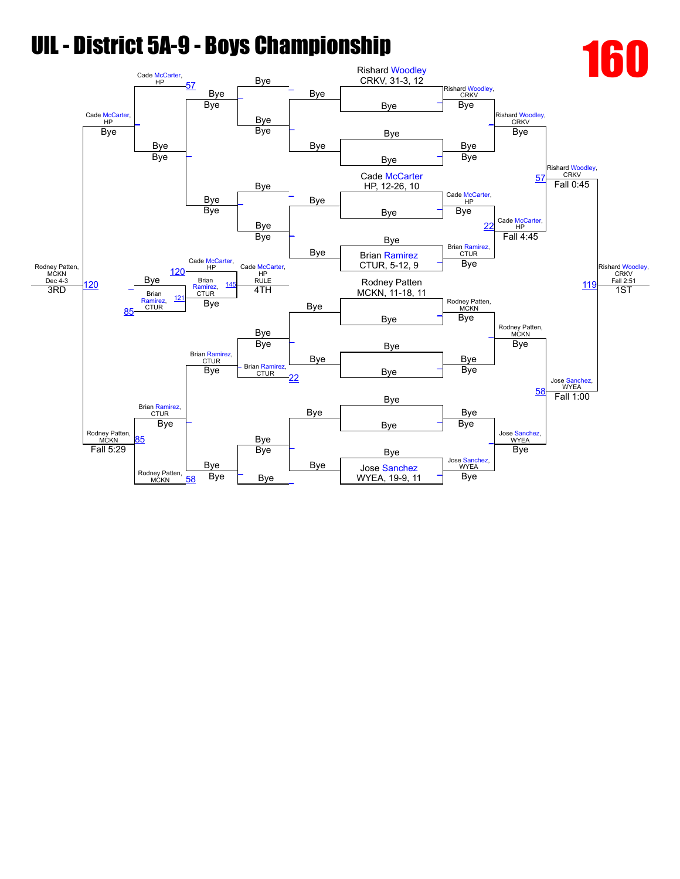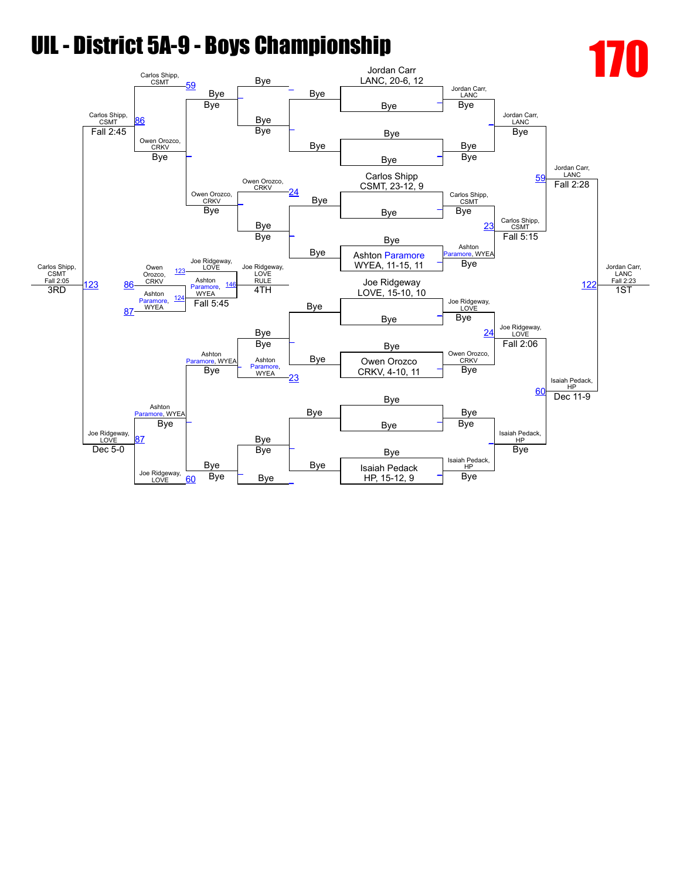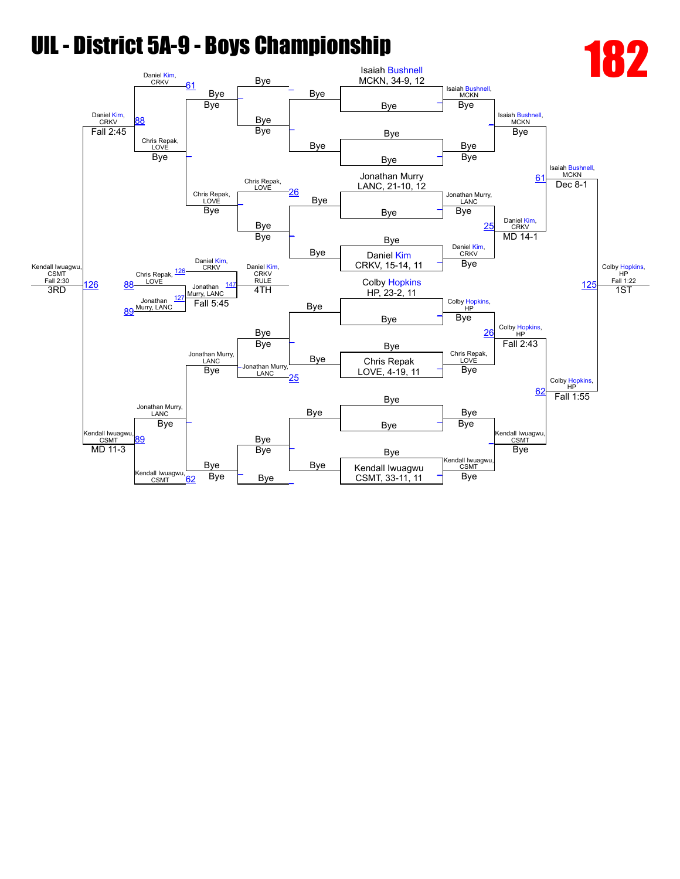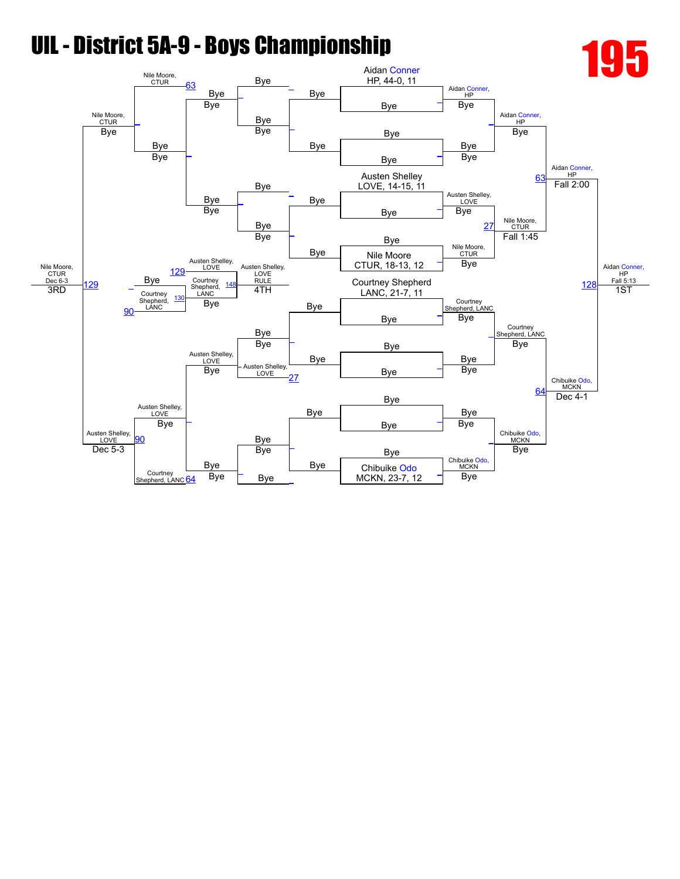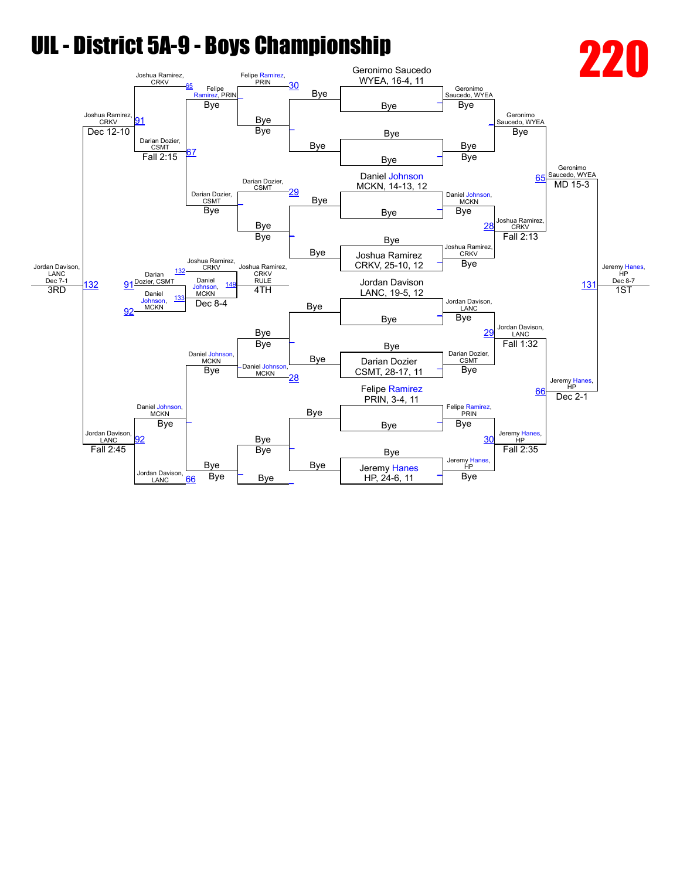